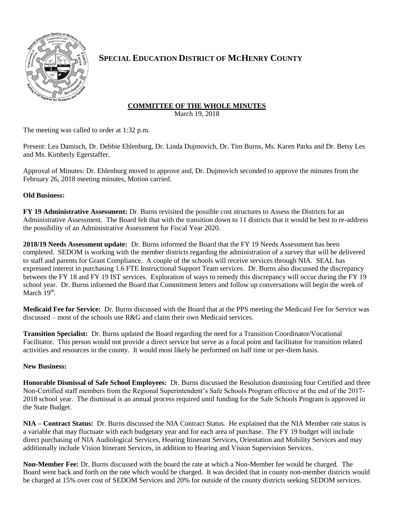

# **SPECIAL EDUCATION DISTRICT OF MCHENRY COUNTY**

## **COMMITTEE OF THE WHOLE MINUTES**

March 19, 2018

The meeting was called to order at 1:32 p.m.

Present: Lea Damisch, Dr. Debbie Ehlenburg, Dr. Linda Dujmovich, Dr. Tim Burns, Ms. Karen Parks and Dr. Betsy Les and Ms. Kimberly Egerstaffer.

Approval of Minutes: Dr. Ehlenburg moved to approve and, Dr. Dujmovich seconded to approve the minutes from the February 26, 2018 meeting minutes, Motion carried.

## **Old Business:**

**FY 19 Administrative Assessment:** Dr. Burns revisited the possible cost structures to Assess the Districts for an Administrative Assessment. The Board felt that with the transition down to 11 districts that it would be best to re-address the possibility of an Administrative Assessment for Fiscal Year 2020.

**2018/19 Needs Assessment update:** Dr. Burns informed the Board that the FY 19 Needs Assessment has been completed. SEDOM is working with the member districts regarding the administration of a survey that will be delivered to staff and parents for Grant Compliance. A couple of the schools will receive services through NIA. SEAL has expressed interest in purchasing 1.6 FTE Instructional Support Team services. Dr. Burns also discussed the discrepancy between the FY 18 and FY 19 IST services. Exploration of ways to remedy this discrepancy will occur during the FY 19 school year. Dr. Burns informed the Board that Commitment letters and follow up conversations will begin the week of March  $19<sup>th</sup>$ .

**Medicaid Fee for Service:** Dr. Burns discussed with the Board that at the PPS meeting the Medicaid Fee for Service was discussed – most of the schools use R&G and claim their own Medicaid services.

**Transition Specialist:** Dr. Burns updated the Board regarding the need for a Transition Coordinator/Vocational Facilitator. This person would not provide a direct service but serve as a focal point and facilitator for transition related activities and resources in the county. It would most likely be performed on half time or per-diem basis.

### **New Business:**

**Honorable Dismissal of Safe School Employees:** Dr. Burns discussed the Resolution dismissing four Certified and three Non-Certified staff members from the Regional Superintendent's Safe Schools Program effective at the end of the 2017- 2018 school year. The dismissal is an annual process required until funding for the Safe Schools Program is approved in the State Budget.

**NIA – Contract Status:** Dr. Burns discussed the NIA Contract Status. He explained that the NIA Member rate status is a variable that may fluctuate with each budgetary year and for each area of purchase. The FY 19 budget will include direct purchasing of NIA Audiological Services, Hearing Itinerant Services, Orientation and Mobility Services and may additionally include Vision Itinerant Services, in addition to Hearing and Vision Supervision Services.

**Non-Member Fee:** Dr. Burns discussed with the board the rate at which a Non-Member fee would be charged. The Board went back and forth on the rate which would be charged. It was decided that in county non-member districts would be charged at 15% over cost of SEDOM Services and 20% for outside of the county districts seeking SEDOM services.